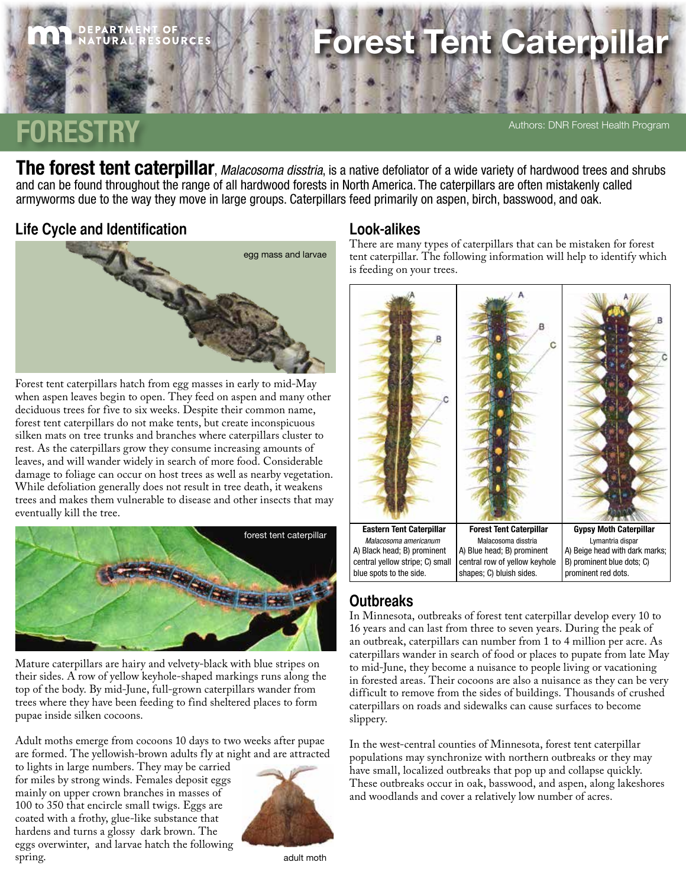# **Fent Caterpil**

## **FORESTRY**

Authors: DNR Forest Health Program

The forest tent caterpillar, *Malacosoma disstria*, is a native defoliator of a wide variety of hardwood trees and shrubs and can be found throughout the range of all hardwood forests in North America. The caterpillars are often mistakenly called armyworms due to the way they move in large groups. Caterpillars feed primarily on aspen, birch, basswood, and oak.

#### **Life Cycle and Identification**



Forest tent caterpillars hatch from egg masses in early to mid-May when aspen leaves begin to open. They feed on aspen and many other deciduous trees for five to six weeks. Despite their common name, forest tent caterpillars do not make tents, but create inconspicuous silken mats on tree trunks and branches where caterpillars cluster to rest. As the caterpillars grow they consume increasing amounts of leaves, and will wander widely in search of more food. Considerable damage to foliage can occur on host trees as well as nearby vegetation. While defoliation generally does not result in tree death, it weakens trees and makes them vulnerable to disease and other insects that may eventually kill the tree.



Mature caterpillars are hairy and velvety-black with blue stripes on their sides. A row of yellow keyhole-shaped markings runs along the top of the body. By mid-June, full-grown caterpillars wander from trees where they have been feeding to find sheltered places to form pupae inside silken cocoons.

Adult moths emerge from cocoons 10 days to two weeks after pupae are formed. The yellowish-brown adults fly at night and are attracted

to lights in large numbers. They may be carried for miles by strong winds. Females deposit eggs mainly on upper crown branches in masses of 100 to 350 that encircle small twigs. Eggs are coated with a frothy, glue-like substance that hardens and turns a glossy dark brown. The eggs overwinter, and larvae hatch the following spring.



adult moth

#### **Look-alikes**

There are many types of caterpillars that can be mistaken for forest tent caterpillar. The following information will help to identify which is feeding on your trees.



### **Outbreaks**

In Minnesota, outbreaks of forest tent caterpillar develop every 10 to 16 years and can last from three to seven years. During the peak of an outbreak, caterpillars can number from 1 to 4 million per acre. As caterpillars wander in search of food or places to pupate from late May to mid-June, they become a nuisance to people living or vacationing in forested areas. Their cocoons are also a nuisance as they can be very difficult to remove from the sides of buildings. Thousands of crushed caterpillars on roads and sidewalks can cause surfaces to become slippery.

In the west-central counties of Minnesota, forest tent caterpillar populations may synchronize with northern outbreaks or they may have small, localized outbreaks that pop up and collapse quickly. These outbreaks occur in oak, basswood, and aspen, along lakeshores and woodlands and cover a relatively low number of acres.